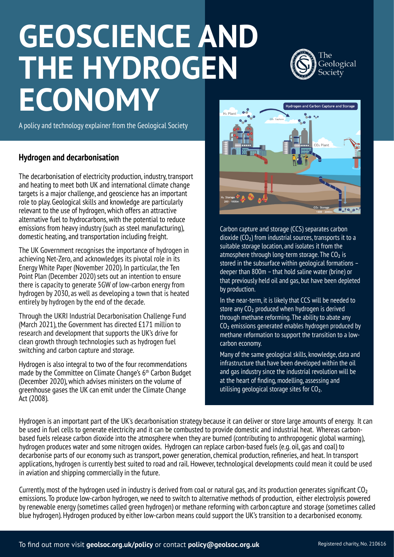# **GEOSCIENCE AND THE HYDROGEN ECONOMY**



A policy and technology explainer from the Geological Society

#### **Hydrogen and decarbonisation**

The decarbonisation of electricity production, industry, transport and heating to meet both UK and international climate change targets is a major challenge, and geoscience has an important role to play. Geological skills and knowledge are particularly relevant to the use of hydrogen, which offers an attractive alternative fuel to hydrocarbons, with the potential to reduce emissions from heavy industry (such as steel manufacturing), domestic heating, and transportation including freight.

The UK Government recognises the importance of hydrogen in achieving Net-Zero, and acknowledges its pivotal role in its Energy White Paper (November 2020). In particular, the Ten Point Plan (December 2020) sets out an intention to ensure there is capacity to generate 5GW of low-carbon energy from hydrogen by 2030, as well as developing a town that is heated entirely by hydrogen by the end of the decade.

Through the UKRI Industrial Decarbonisation Challenge Fund (March 2021), the Government has directed £171 million to research and development that supports the UK's drive for clean growth through technologies such as hydrogen fuel switching and carbon capture and storage.

Hydrogen is also integral to two of the four recommendations made by the Committee on Climate Change's 6th Carbon Budget (December 2020), which advises ministers on the volume of greenhouse gases the UK can emit under the Climate Change Act (2008).



Carbon capture and storage (CCS) separates carbon dioxide (CO₂) from industrial sources, transports it to a suitable storage location, and isolates it from the atmosphere through long-term storage. The  $CO<sub>2</sub>$  is stored in the subsurface within geological formations – deeper than 800m – that hold saline water (brine) or that previously held oil and gas, but have been depleted by production.

In the near-term, it is likely that CCS will be needed to store any CO<sub>2</sub> produced when hydrogen is derived through methane reforming. The ability to abate any CO<sub>2</sub> emissions generated enables hydrogen produced by methane reformation to support the transition to a lowcarbon economy.

Many of the same geological skills, knowledge, data and infrastructure that have been developed within the oil and gas industry since the industrial revolution will be at the heart of finding, modelling, assessing and utilising geological storage sites for CO₂.

Hydrogen is an important part of the UK's decarbonisation strategy because it can deliver or store large amounts of energy. It can be used in fuel cells to generate electricity and it can be combusted to provide domestic and industrial heat. Whereas carbonbased fuels release carbon dioxide into the atmosphere when they are burned (contributing to anthropogenic global warming), hydrogen produces water and some nitrogen oxides. Hydrogen can replace carbon-based fuels (e.g. oil, gas and coal) to decarbonise parts of our economy such as transport, power generation, chemical production, refineries, and heat. In transport applications, hydrogen is currently best suited to road and rail. However, technological developments could mean it could be used in aviation and shipping commercially in the future.

Currently, most of the hydrogen used in industry is derived from coal or natural gas, and its production generates significant CO₂ emissions. To produce low-carbon hydrogen, we need to switch to alternative methods of production, either electrolysis powered by renewable energy (sometimes called green hydrogen) or methane reforming with carbon capture and storage (sometimes called blue hydrogen). Hydrogen produced by either low-carbon means could support the UK's transition to a decarbonised economy.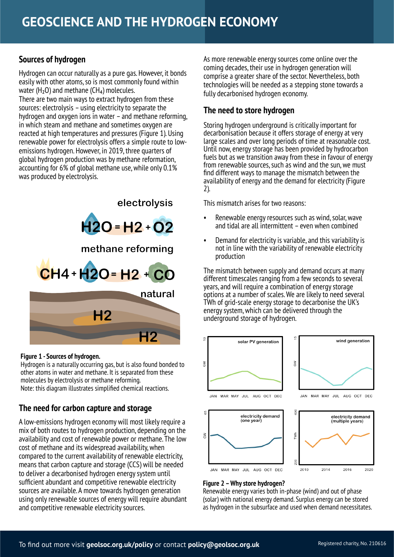#### **Sources of hydrogen**

Hydrogen can occur naturally as a pure gas. However, it bonds easily with other atoms, so is most commonly found within water ( $H_2O$ ) and methane ( $CH_4$ ) molecules. There are two main ways to extract hydrogen from these sources: electrolysis – using electricity to separate the hydrogen and oxygen ions in water – and methane reforming, in which steam and methane and sometimes oxygen are reacted at high temperatures and pressures (Figure 1). Using renewable power for electrolysis offers a simple route to lowemissions hydrogen. However, in 2019, three quarters of global hydrogen production was by methane reformation, accounting for 6% of global methane use, while only 0.1% was produced by electrolysis.



#### **Figure 1 - Sources of hydrogen.**

Hydrogen is a naturally occurring gas, but is also found bonded to other atoms in water and methane. It is separated from these molecules by electrolysis or methane reforming. Note: this diagram illustrates simplified chemical reactions.

# **The need for carbon capture and storage**

A low-emissions hydrogen economy will most likely require a mix of both routes to hydrogen production, depending on the availability and cost of renewable power or methane. The low cost of methane and its widespread availability, when compared to the current availability of renewable electricity, means that carbon capture and storage (CCS) will be needed to deliver a decarbonised hydrogen energy system until sufficient abundant and competitive renewable electricity sources are available. A move towards hydrogen generation using only renewable sources of energy will require abundant and competitive renewable electricity sources.

As more renewable energy sources come online over the coming decades, their use in hydrogen generation will comprise a greater share of the sector. Nevertheless, both technologies will be needed as a stepping stone towards a fully decarbonised hydrogen economy.

#### **The need to store hydrogen**

Storing hydrogen underground is critically important for decarbonisation because it offers storage of energy at very large scales and over long periods of time at reasonable cost. Until now, energy storage has been provided by hydrocarbon fuels but as we transition away from these in favour of energy from renewable sources, such as wind and the sun, we must find different ways to manage the mismatch between the availability of energy and the demand for electricity (Figure 2).

This mismatch arises for two reasons:

- Renewable energy resources such as wind, solar, wave and tidal are all intermittent – even when combined
- Demand for electricity is variable, and this variability is not in line with the variability of renewable electricity production

The mismatch between supply and demand occurs at many different timescales ranging from a few seconds to several years, and will require a combination of energy storage options at a number of scales.We are likely to need several TWh of grid-scale energy storage to decarbonise the UK's energy system, which can be delivered through the underground storage of hydrogen.



#### **Figure 2 –Why store hydrogen?**

JAN MAR MAY JUL AUG OCT DEC

Renewable energy varies both in-phase (wind) and out of phase (solar) with national energy demand. Surplus energy can be stored as hydrogen in the subsurface and used when demand necessitates.

 $^{00}$ 

2010

2014

2016

2020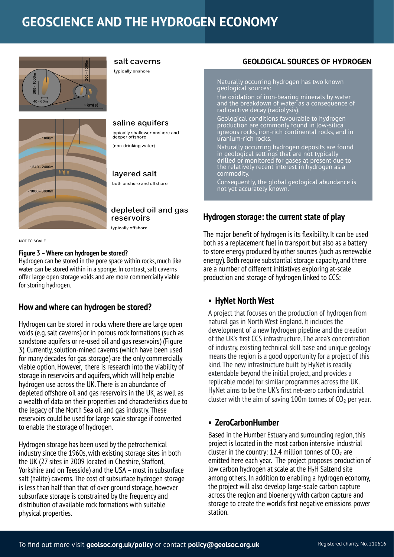# **GEOSCIENCE AND THE HYDROGEN ECONOMY**





salt caverns

typically onshore

saline aquifers typically shallower onshore and<br>deeper offshore (non-drinking water)

# layered salt

both onshore and offshore

#### depleted oil and gas reservoirs

typically offshore

**NOT TO SCALE** 

#### **Figure 3 –Where can hydrogen be stored?**

Hydrogen can be stored in the pore space within rocks, much like water can be stored within in a sponge. In contrast, salt caverns offer large open storage voids and are more commercially viable for storing hydrogen.

# **How and where can hydrogen be stored?**

Hydrogen can be stored in rocks where there are large open voids (e.g. salt caverns) or in porous rock formations (such as sandstone aquifers or re-used oil and gas reservoirs) (Figure 3). Currently, solution-mined caverns (which have been used for many decades for gas storage) are the only commercially viable option. However, there is research into the viability of storage in reservoirs and aquifers, which will help enable hydrogen use across the UK. There is an abundance of depleted offshore oil and gas reservoirs in the UK, as well as a wealth of data on their properties and characteristics due to the legacy of the North Sea oil and gas industry. These reservoirs could be used for large scale storage if converted to enable the storage of hydrogen.

Hydrogen storage has been used by the petrochemical industry since the 1960s, with existing storage sites in both the UK (27 sites in 2009 located in Cheshire, Stafford, Yorkshire and on Teesside) and the USA – most in subsurface salt (halite) caverns. The cost of subsurface hydrogen storage is less than half than that of over ground storage, however subsurface storage is constrained by the frequency and distribution of available rock formations with suitable physical properties.

#### **GEOLOGICAL SOURCES OF HYDROGEN**

Naturally occurring hydrogen has two known geological sources:

the oxidation of iron-bearing minerals by water and the breakdown of water as a consequence of radioactive decay (radiolysis).

Geological conditions favourable to hydrogen production are commonly found in low-silica igneous rocks, iron-rich continental rocks, and in uranium-rich rocks.

Naturally occurring hydrogen deposits are found in geological settings that are not typically drilled or monitored for gases at present due to the relatively recent interest in hydrogen as a **commodity** 

Consequently, the global geological abundance is not yet accurately known.

# **Hydrogen storage: the current state of play**

The major benefit of hydrogen is its flexibility. It can be used both as a replacement fuel in transport but also as a battery to store energy produced by other sources (such as renewable energy). Both require substantial storage capacity, and there are a number of different initiatives exploring at-scale production and storage of hydrogen linked to CCS:

# **• HyNet North West**

A project that focuses on the production of hydrogen from natural gas in North West England. It includes the development of a new hydrogen pipeline and the creation of the UK's first CCS infrastructure. The area's concentration of industry, existing technical skill base and unique geology means the region is a good opportunity for a project of this kind. The new infrastructure built by HyNet is readily extendable beyond the initial project, and provides a replicable model for similar programmes across the UK. HyNet aims to be the UK's first net-zero carbon industrial cluster with the aim of saving 100m tonnes of  $CO<sub>2</sub>$  per year.

# **• ZeroCarbonHumber**

Based in the Humber Estuary and surrounding region, this project is located in the most carbon intensive industrial cluster in the country: 12.4 million tonnes of  $CO<sub>2</sub>$  are emitted here each year. The project proposes production of low carbon hydrogen at scale at the H₂H Saltend site among others. In addition to enabling a hydrogen economy, the project will also develop large-scale carbon capture across the region and bioenergy with carbon capture and storage to create the world's first negative emissions power station.